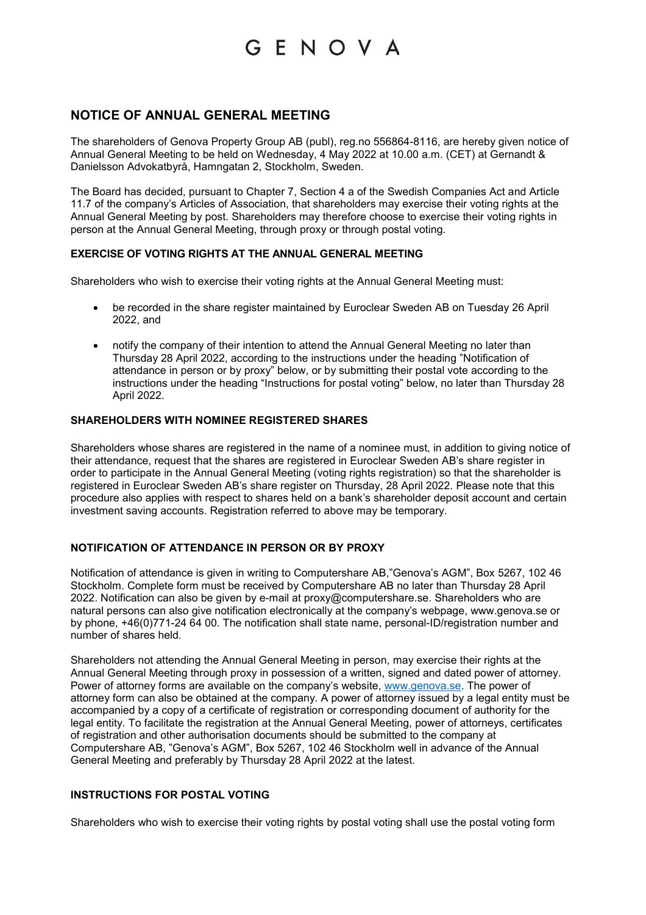## **NOTICE OF ANNUAL GENERAL MEETING**

The shareholders of Genova Property Group AB (publ), reg.no 556864-8116, are hereby given notice of Annual General Meeting to be held on Wednesday, 4 May 2022 at 10.00 a.m. (CET) at Gernandt & Danielsson Advokatbyrå, Hamngatan 2, Stockholm, Sweden.

The Board has decided, pursuant to Chapter 7, Section 4 a of the Swedish Companies Act and Article 11.7 of the company's Articles of Association, that shareholders may exercise their voting rights at the Annual General Meeting by post. Shareholders may therefore choose to exercise their voting rights in person at the Annual General Meeting, through proxy or through postal voting.

## **EXERCISE OF VOTING RIGHTS AT THE ANNUAL GENERAL MEETING**

Shareholders who wish to exercise their voting rights at the Annual General Meeting must:

- be recorded in the share register maintained by Euroclear Sweden AB on Tuesday 26 April 2022, and
- notify the company of their intention to attend the Annual General Meeting no later than Thursday 28 April 2022, according to the instructions under the heading "Notification of attendance in person or by proxy" below, or by submitting their postal vote according to the instructions under the heading "Instructions for postal voting" below, no later than Thursday 28 April 2022.

## **SHAREHOLDERS WITH NOMINEE REGISTERED SHARES**

Shareholders whose shares are registered in the name of a nominee must, in addition to giving notice of their attendance, request that the shares are registered in Euroclear Sweden AB's share register in order to participate in the Annual General Meeting (voting rights registration) so that the shareholder is registered in Euroclear Sweden AB's share register on Thursday, 28 April 2022. Please note that this procedure also applies with respect to shares held on a bank's shareholder deposit account and certain investment saving accounts. Registration referred to above may be temporary.

## **NOTIFICATION OF ATTENDANCE IN PERSON OR BY PROXY**

Notification of attendance is given in writing to Computershare AB,"Genova's AGM", Box 5267, 102 46 Stockholm. Complete form must be received by Computershare AB no later than Thursday 28 April 2022. Notification can also be given by e-mail at proxy@computershare.se. Shareholders who are natural persons can also give notification electronically at the company's webpage, www.genova.se or by phone, +46(0)771-24 64 00. The notification shall state name, personal-ID/registration number and number of shares held.

Shareholders not attending the Annual General Meeting in person, may exercise their rights at the Annual General Meeting through proxy in possession of a written, signed and dated power of attorney. Power of attorney forms are available on the company's website, www.genova.se. The power of attorney form can also be obtained at the company. A power of attorney issued by a legal entity must be accompanied by a copy of a certificate of registration or corresponding document of authority for the legal entity. To facilitate the registration at the Annual General Meeting, power of attorneys, certificates of registration and other authorisation documents should be submitted to the company at Computershare AB, "Genova's AGM", Box 5267, 102 46 Stockholm well in advance of the Annual General Meeting and preferably by Thursday 28 April 2022 at the latest.

### **INSTRUCTIONS FOR POSTAL VOTING**

Shareholders who wish to exercise their voting rights by postal voting shall use the postal voting form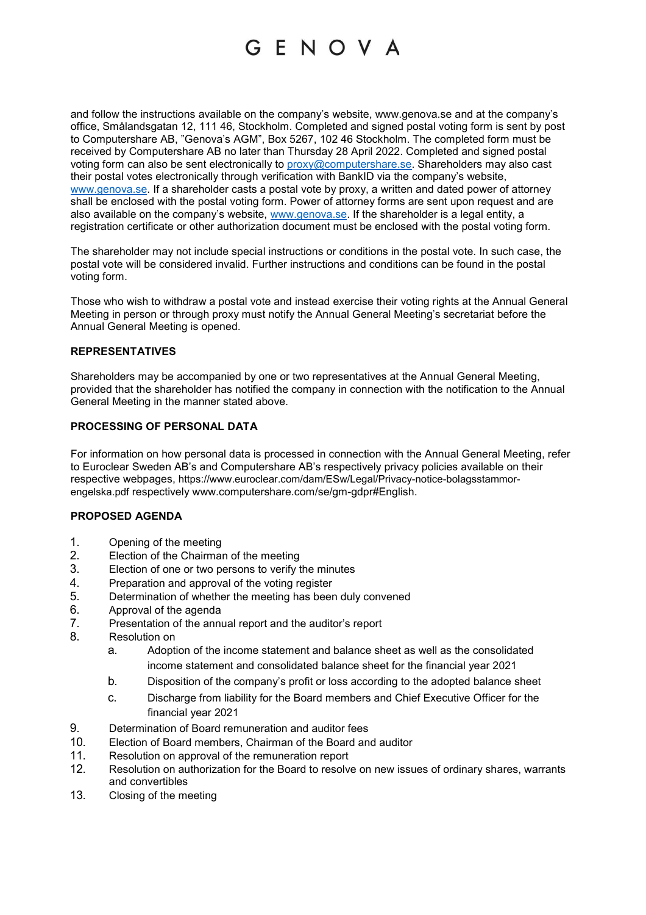and follow the instructions available on the company's website, www.genova.se and at the company's office, Smålandsgatan 12, 111 46, Stockholm. Completed and signed postal voting form is sent by post to Computershare AB, "Genova's AGM", Box 5267, 102 46 Stockholm. The completed form must be received by Computershare AB no later than Thursday 28 April 2022. Completed and signed postal voting form can also be sent electronically to proxy@computershare.se. Shareholders may also cast their postal votes electronically through verification with BankID via the company's website, www.genova.se. If a shareholder casts a postal vote by proxy, a written and dated power of attorney shall be enclosed with the postal voting form. Power of attorney forms are sent upon request and are also available on the company's website, www.genova.se. If the shareholder is a legal entity, a registration certificate or other authorization document must be enclosed with the postal voting form.

The shareholder may not include special instructions or conditions in the postal vote. In such case, the postal vote will be considered invalid. Further instructions and conditions can be found in the postal voting form.

Those who wish to withdraw a postal vote and instead exercise their voting rights at the Annual General Meeting in person or through proxy must notify the Annual General Meeting's secretariat before the Annual General Meeting is opened.

## **REPRESENTATIVES**

Shareholders may be accompanied by one or two representatives at the Annual General Meeting, provided that the shareholder has notified the company in connection with the notification to the Annual General Meeting in the manner stated above.

## **PROCESSING OF PERSONAL DATA**

For information on how personal data is processed in connection with the Annual General Meeting, refer to Euroclear Sweden AB's and Computershare AB's respectively privacy policies available on their respective webpages, https://www.euroclear.com/dam/ESw/Legal/Privacy-notice-bolagsstammorengelska.pdf respectively www.computershare.com/se/gm-gdpr#English.

#### **PROPOSED AGENDA**

- 1. Opening of the meeting
- 2. Election of the Chairman of the meeting
- 3. Election of one or two persons to verify the minutes
- 4. Preparation and approval of the voting register
- 5. Determination of whether the meeting has been duly convened
- 6. Approval of the agenda
- 7. Presentation of the annual report and the auditor's report
- 8. Resolution on
	- a. Adoption of the income statement and balance sheet as well as the consolidated income statement and consolidated balance sheet for the financial year 2021
	- b. Disposition of the company's profit or loss according to the adopted balance sheet
	- c. Discharge from liability for the Board members and Chief Executive Officer for the financial year 2021
- 9. Determination of Board remuneration and auditor fees
- 10. Election of Board members, Chairman of the Board and auditor
- 11. Resolution on approval of the remuneration report
- 12. Resolution on authorization for the Board to resolve on new issues of ordinary shares, warrants and convertibles
- 13. Closing of the meeting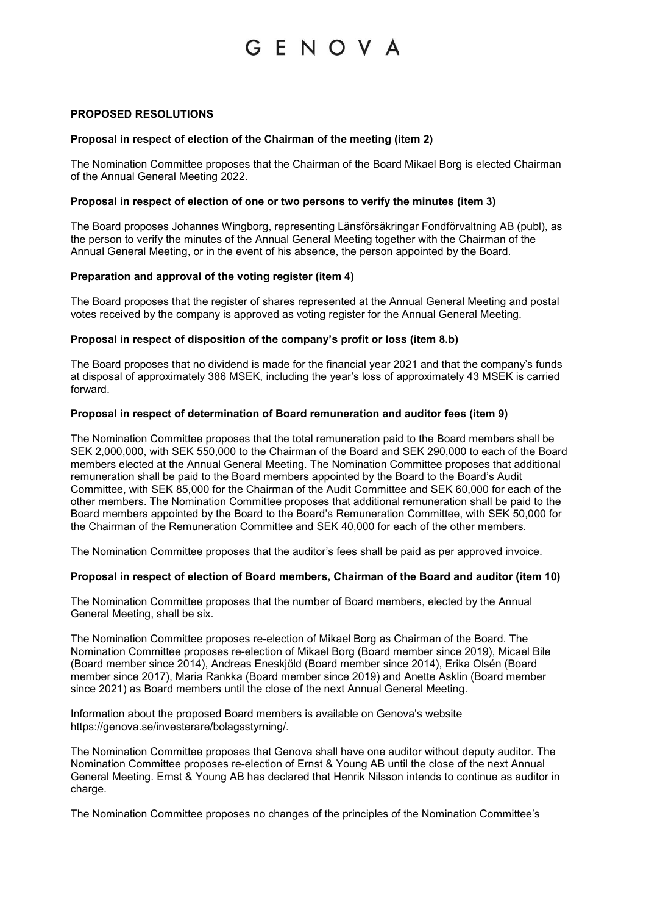### **PROPOSED RESOLUTIONS**

### **Proposal in respect of election of the Chairman of the meeting (item 2)**

The Nomination Committee proposes that the Chairman of the Board Mikael Borg is elected Chairman of the Annual General Meeting 2022.

#### **Proposal in respect of election of one or two persons to verify the minutes (item 3)**

The Board proposes Johannes Wingborg, representing Länsförsäkringar Fondförvaltning AB (publ), as the person to verify the minutes of the Annual General Meeting together with the Chairman of the Annual General Meeting, or in the event of his absence, the person appointed by the Board.

#### **Preparation and approval of the voting register (item 4)**

The Board proposes that the register of shares represented at the Annual General Meeting and postal votes received by the company is approved as voting register for the Annual General Meeting.

## **Proposal in respect of disposition of the company's profit or loss (item 8.b)**

The Board proposes that no dividend is made for the financial year 2021 and that the company's funds at disposal of approximately 386 MSEK, including the year's loss of approximately 43 MSEK is carried forward.

#### **Proposal in respect of determination of Board remuneration and auditor fees (item 9)**

The Nomination Committee proposes that the total remuneration paid to the Board members shall be SEK 2,000,000, with SEK 550,000 to the Chairman of the Board and SEK 290,000 to each of the Board members elected at the Annual General Meeting. The Nomination Committee proposes that additional remuneration shall be paid to the Board members appointed by the Board to the Board's Audit Committee, with SEK 85,000 for the Chairman of the Audit Committee and SEK 60,000 for each of the other members. The Nomination Committee proposes that additional remuneration shall be paid to the Board members appointed by the Board to the Board's Remuneration Committee, with SEK 50,000 for the Chairman of the Remuneration Committee and SEK 40,000 for each of the other members.

The Nomination Committee proposes that the auditor's fees shall be paid as per approved invoice.

#### **Proposal in respect of election of Board members, Chairman of the Board and auditor (item 10)**

The Nomination Committee proposes that the number of Board members, elected by the Annual General Meeting, shall be six.

The Nomination Committee proposes re-election of Mikael Borg as Chairman of the Board. The Nomination Committee proposes re-election of Mikael Borg (Board member since 2019), Micael Bile (Board member since 2014), Andreas Eneskjöld (Board member since 2014), Erika Olsén (Board member since 2017), Maria Rankka (Board member since 2019) and Anette Asklin (Board member since 2021) as Board members until the close of the next Annual General Meeting.

Information about the proposed Board members is available on Genova's website https://genova.se/investerare/bolagsstyrning/.

The Nomination Committee proposes that Genova shall have one auditor without deputy auditor. The Nomination Committee proposes re-election of Ernst & Young AB until the close of the next Annual General Meeting. Ernst & Young AB has declared that Henrik Nilsson intends to continue as auditor in charge.

The Nomination Committee proposes no changes of the principles of the Nomination Committee's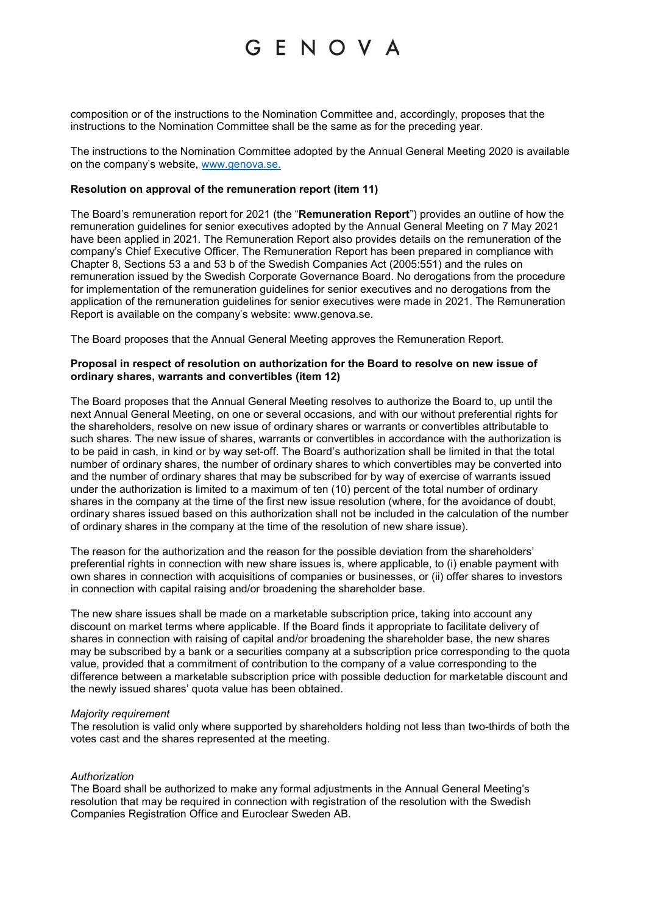composition or of the instructions to the Nomination Committee and, accordingly, proposes that the instructions to the Nomination Committee shall be the same as for the preceding year.

The instructions to the Nomination Committee adopted by the Annual General Meeting 2020 is available on the company's website, www.genova.se.

#### **Resolution on approval of the remuneration report (item 11)**

The Board's remuneration report for 2021 (the "**Remuneration Report**") provides an outline of how the remuneration guidelines for senior executives adopted by the Annual General Meeting on 7 May 2021 have been applied in 2021. The Remuneration Report also provides details on the remuneration of the company's Chief Executive Officer. The Remuneration Report has been prepared in compliance with Chapter 8, Sections 53 a and 53 b of the Swedish Companies Act (2005:551) and the rules on remuneration issued by the Swedish Corporate Governance Board. No derogations from the procedure for implementation of the remuneration guidelines for senior executives and no derogations from the application of the remuneration guidelines for senior executives were made in 2021. The Remuneration Report is available on the company's website: www.genova.se.

The Board proposes that the Annual General Meeting approves the Remuneration Report.

### **Proposal in respect of resolution on authorization for the Board to resolve on new issue of ordinary shares, warrants and convertibles (item 12)**

The Board proposes that the Annual General Meeting resolves to authorize the Board to, up until the next Annual General Meeting, on one or several occasions, and with our without preferential rights for the shareholders, resolve on new issue of ordinary shares or warrants or convertibles attributable to such shares. The new issue of shares, warrants or convertibles in accordance with the authorization is to be paid in cash, in kind or by way set-off. The Board's authorization shall be limited in that the total number of ordinary shares, the number of ordinary shares to which convertibles may be converted into and the number of ordinary shares that may be subscribed for by way of exercise of warrants issued under the authorization is limited to a maximum of ten (10) percent of the total number of ordinary shares in the company at the time of the first new issue resolution (where, for the avoidance of doubt, ordinary shares issued based on this authorization shall not be included in the calculation of the number of ordinary shares in the company at the time of the resolution of new share issue).

The reason for the authorization and the reason for the possible deviation from the shareholders' preferential rights in connection with new share issues is, where applicable, to (i) enable payment with own shares in connection with acquisitions of companies or businesses, or (ii) offer shares to investors in connection with capital raising and/or broadening the shareholder base.

The new share issues shall be made on a marketable subscription price, taking into account any discount on market terms where applicable. If the Board finds it appropriate to facilitate delivery of shares in connection with raising of capital and/or broadening the shareholder base, the new shares may be subscribed by a bank or a securities company at a subscription price corresponding to the quota value, provided that a commitment of contribution to the company of a value corresponding to the difference between a marketable subscription price with possible deduction for marketable discount and the newly issued shares' quota value has been obtained.

#### *Majority requirement*

The resolution is valid only where supported by shareholders holding not less than two-thirds of both the votes cast and the shares represented at the meeting.

#### *Authorization*

The Board shall be authorized to make any formal adjustments in the Annual General Meeting's resolution that may be required in connection with registration of the resolution with the Swedish Companies Registration Office and Euroclear Sweden AB.